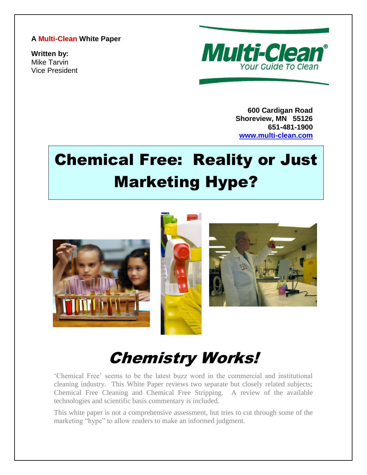#### **A Multi-Clean White Paper**

**Written by:** Mike Tarvin Vice President



**600 Cardigan Road Shoreview, MN 55126 651-481-1900 [www.multi-clean.com](http://www.multi-clean.com/)**

# Chemical Free: Reality or Just Marketing Hype?



## Chemistry Works!

'Chemical Free' seems to be the latest buzz word in the commercial and institutional cleaning industry. This White Paper reviews two separate but closely related subjects; Chemical Free Cleaning and Chemical Free Stripping. A review of the available technologies and scientific basis commentary is included.

This white paper is not a comprehensive assessment, but tries to cut through some of the marketing "hype" to allow readers to make an informed judgment.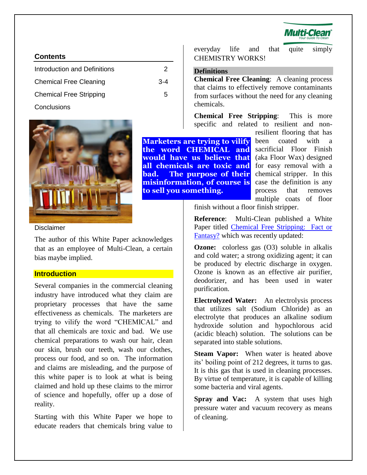

#### **Contents**

| Introduction and Definitions   | 2       |
|--------------------------------|---------|
| <b>Chemical Free Cleaning</b>  | $3 - 4$ |
| <b>Chemical Free Stripping</b> | 5       |
| Conclusions                    |         |



everyday life and that quite simply CHEMISTRY WORKS!

#### **Definitions**

**Chemical Free Cleaning**: A cleaning process that claims to effectively remove contaminants from surfaces without the need for any cleaning chemicals.

**Chemical Free Stripping**: This is more specific and related to resilient and non-

**Marketers are trying to vilify the word CHEMICAL and would have us believe that all chemicals are toxic and bad. The purpose of their misinformation, of course is to sell you something.**

resilient flooring that has been coated with a sacrificial Floor Finish (aka Floor Wax) designed for easy removal with a chemical stripper. In this case the definition is any process that removes multiple coats of floor

finish without a floor finish stripper.

**Reference**: Multi-Clean published a White Paper titled [Chemical Free Stripping: Fact or](http://www.multi-clean.com/white%20papers/Chemical%20Free%20Strippng%20Fact%20or%20Fantasy%2011-9-11.pdf)  [Fantasy?](http://www.multi-clean.com/white%20papers/Chemical%20Free%20Strippng%20Fact%20or%20Fantasy%2011-9-11.pdf) which was recently updated:

**Ozone:** colorless gas (O3) soluble in alkalis and cold water; a strong oxidizing agent; it can be produced by electric discharge in oxygen. Ozone is known as an effective air purifier, deodorizer, and has been used in water purification.

**Electrolyzed Water:** An electrolysis process that utilizes salt (Sodium Chloride) as an electrolyte that produces an alkaline sodium hydroxide solution and hypochlorous acid (acidic bleach) solution. The solutions can be separated into stable solutions.

**Steam Vapor:** When water is heated above its' boiling point of 212 degrees, it turns to gas. It is this gas that is used in cleaning processes. By virtue of temperature, it is capable of killing some bacteria and viral agents.

**Spray and Vac:** A system that uses high pressure water and vacuum recovery as means of cleaning.

#### <span id="page-1-0"></span>Disclaimer

The author of this White Paper acknowledges that as an employee of Multi-Clean, a certain bias maybe implied.

#### **Introduction**

Several companies in the commercial cleaning industry have introduced what they claim are proprietary processes that have the same effectiveness as chemicals. The marketers are trying to vilify the word "CHEMICAL" and that all chemicals are toxic and bad. We use chemical preparations to wash our hair, clean our skin, brush our teeth, wash our clothes, process our food, and so on. The information and claims are misleading, and the purpose of this white paper is to look at what is being claimed and hold up these claims to the mirror of science and hopefully, offer up a dose of reality.

Starting with this White Paper we hope to educate readers that chemicals bring value to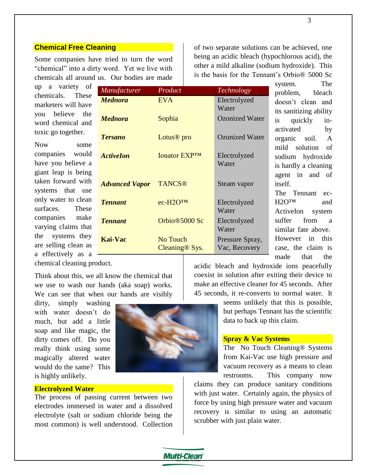#### **Chemical Free Cleaning**

Some companies have tried to turn the word "chemical" into a dirty word. Yet we live with chemicals all around us. Our bodies are made

up a variety of chemicals. These marketers will have you believe the word chemical and toxic go together.

Now some companies would have you believe a giant leap is being taken forward with systems that use only water to clean surfaces. These companies make varying claims that the systems they are selling clean as a effectively as a

|                                          |                                   |                       | The<br>system.                      |
|------------------------------------------|-----------------------------------|-----------------------|-------------------------------------|
| Manufacturer                             | Product                           | Technology            | problem,<br>bleach                  |
| <b>Mednora</b>                           | <b>EVA</b>                        | Electrolyzed          | doesn't clean and                   |
|                                          |                                   | Water                 | its sanitizing ability              |
| <b>Mednora</b>                           | Sophia                            | <b>Ozonized Water</b> | is<br>quickly<br>in-                |
| <b>Tersano</b>                           | Lotus <sup>®</sup> pro            | <b>Ozonized Water</b> | activated<br>by                     |
|                                          |                                   |                       | organic soil. A<br>mild solution of |
| <b>Activelon</b>                         | <b>Ionator EXPTM</b>              | Electrolyzed          | sodium hydroxide                    |
|                                          |                                   | Water                 | is hardly a cleaning                |
|                                          |                                   |                       | agent in and of                     |
| <b>Advanced Vapor</b> TANCS <sup>®</sup> |                                   | Steam vapor           | itself.                             |
|                                          |                                   |                       | The Tennant ec-                     |
| <b>Tennant</b>                           | ес-H <sub>2</sub> O <sup>TM</sup> | Electrolyzed          | $H2O^{TM}$<br>and                   |
|                                          |                                   | Water                 | ActiveIon<br>system                 |
| <b>Tennant</b>                           | Orbio <sup>®5000</sup> Sc         | Electrolyzed          | suffer<br>from<br>- a               |
|                                          |                                   | Water                 | similar fate above.                 |
| <b>Kai-Vac</b>                           | No Touch                          | Pressure Spray,       | However in this                     |
|                                          | Cleaning <sup>®</sup> Sys.        | Vac, Recovery         | case, the claim is                  |
|                                          |                                   |                       | made that the                       |

of two separate solutions can be achieved, one being an acidic bleach (hypochlorous acid), the other a mild alkaline (sodium hydroxide). This is the basis for the Tennant's Orbio® 5000 Sc

chemical cleaning product.

Think about this, we all know the chemical that we use to wash our hands (aka soap) works. We can see that when our hands are visibly

dirty, simply washing with water doesn't do much, but add a little soap and like magic, the dirty comes off. Do you really think using some magically altered water would do the same? This is highly unlikely.

#### **Electrolyzed Water**

The process of passing current between two electrodes immersed in water and a dissolved electrolyte (salt or sodium chloride being the most common) is well understood. Collection



acidic bleach and hydroxide ions peacefully coexist in solution after exiting their device to make an effective cleaner for 45 seconds. After 45 seconds, it re-converts to normal water. It

> seems unlikely that this is possible, but perhaps Tennant has the scientific data to back up this claim.

#### **Spray & Vac Systems**

The No Touch Cleaning® Systems from Kai-Vac use high pressure and vacuum recovery as a means to clean restrooms. This company now

claims they can produce sanitary conditions with just water. Certainly again, the physics of force by using high pressure water and vacuum recovery is similar to using an automatic scrubber with just plain water.

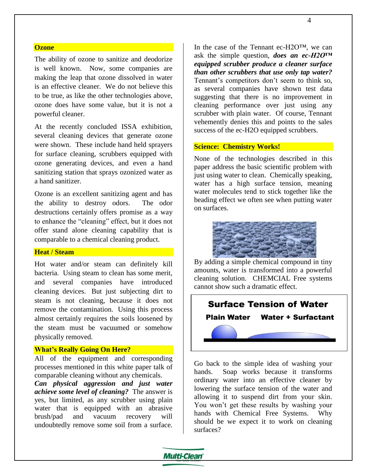#### **Ozone**

The ability of ozone to sanitize and deodorize is well known. Now, some companies are making the leap that ozone dissolved in water is an effective cleaner. We do not believe this to be true, as like the other technologies above, ozone does have some value, but it is not a powerful cleaner.

At the recently concluded ISSA exhibition, several cleaning devices that generate ozone were shown. These include hand held sprayers for surface cleaning, scrubbers equipped with ozone generating devices, and even a hand sanitizing station that sprays ozonized water as a hand sanitizer.

Ozone is an excellent sanitizing agent and has the ability to destroy odors. The odor destructions certainly offers promise as a way to enhance the "cleaning" effect, but it does not offer stand alone cleaning capability that is comparable to a chemical cleaning product.

#### **Heat / Steam**

Hot water and/or steam can definitely kill bacteria. Using steam to clean has some merit, and several companies have introduced cleaning devices. But just subjecting dirt to steam is not cleaning, because it does not remove the contamination. Using this process almost certainly requires the soils loosened by the steam must be vacuumed or somehow physically removed.

#### **What's Really Going On Here?**

All of the equipment and corresponding processes mentioned in this white paper talk of comparable cleaning without any chemicals.

*Can physical aggression and just water achieve some level of cleaning?* The answer is yes, but limited, as any scrubber using plain water that is equipped with an abrasive brush/pad and vacuum recovery will undoubtedly remove some soil from a surface.

In the case of the Tennant ec-H2O™, we can ask the simple question, *does an ec-H2O™ equipped scrubber produce a cleaner surface than other scrubbers that use only tap water?* Tennant's competitors don't seem to think so, as several companies have shown test data suggesting that there is no improvement in cleaning performance over just using any scrubber with plain water. Of course, Tennant vehemently denies this and points to the sales success of the ec-H2O equipped scrubbers.

#### **Science: Chemistry Works!**

None of the technologies described in this paper address the basic scientific problem with just using water to clean. Chemically speaking, water has a high surface tension, meaning water molecules tend to stick together like the beading effect we often see when putting water on surfaces.



By adding a simple chemical compound in tiny amounts, water is transformed into a powerful cleaning solution. CHEMCIAL Free systems cannot show such a dramatic effect.



Go back to the simple idea of washing your hands. Soap works because it transforms ordinary water into an effective cleaner by lowering the surface tension of the water and allowing it to suspend dirt from your skin. You won't get these results by washing your hands with Chemical Free Systems. Why should be we expect it to work on cleaning surfaces?

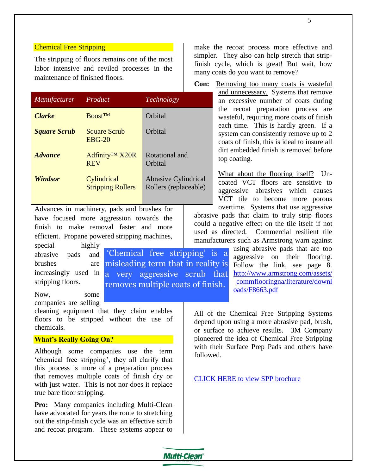#### Chemical Free Stripping

The stripping of floors remains one of the most labor intensive and reviled processes in the maintenance of finished floors.

| Manufacturer          | Product                                  | Technology                                           |
|-----------------------|------------------------------------------|------------------------------------------------------|
| <b>Clarke</b>         | <b>Boost</b> <sup>TM</sup>               | Orbital                                              |
| <b>Square Scrub</b>   | <b>Square Scrub</b><br>$EBG-20$          | Orbital                                              |
| <i><b>Advance</b></i> | Adfinity <sup>™</sup> X20R<br><b>REV</b> | Rotational and<br>Orbital                            |
| <b>Windsor</b>        | Cylindrical<br><b>Stripping Rollers</b>  | <b>Abrasive Cylindrical</b><br>Rollers (replaceable) |

Advances in machinery, pads and brushes for have focused more aggression towards the finish to make removal faster and more efficient. Propane powered stripping machines,

special highly abrasive pads brushes increasingly used in a very aggressive scrub that stripping floors. and 'Chemical free stripping' is a misleading term that in reality is

Now, some companies are selling

cleaning equipment that they claim enables floors to be stripped without the use of chemicals.

#### **What's Really Going On?**

Although some companies use the term 'chemical free stripping', they all clarify that this process is more of a preparation process that removes multiple coats of finish dry or with just water. This is not nor does it replace true bare floor stripping.

**Pro:** Many companies including Multi-Clean have advocated for years the route to stretching out the strip-finish cycle was an effective scrub and recoat program. These systems appear to

each time. This is hardly green. If a system can consistently remove up to 2 coats of finish, this is ideal to insure all dirt embedded finish is removed before top coating.

> What about the flooring itself? Uncoated VCT floors are sensitive to aggressive abrasives which causes VCT tile to become more porous overtime. Systems that use aggressive

abrasive pads that claim to truly strip floors could a negative effect on the tile itself if not used as directed. Commercial resilient tile manufacturers such as Armstrong warn against

make the recoat process more effective and simpler. They also can help stretch that stripfinish cycle, which is great! But wait, how

**Con:** Removing too many coats is wasteful

and unnecessary. Systems that remove an excessive number of coats during the recoat preparation process are wasteful, requiring more coats of finish

many coats do you want to remove?

using abrasive pads that are too aggressive on their flooring. Follow the link, see page 8. [http://www.armstrong.com/assets/](http://www.armstrong.com/assets/commflooringna/literature/downloads/F8663.pdf) [commflooringna/literature/downl](http://www.armstrong.com/assets/commflooringna/literature/downloads/F8663.pdf) [oads/F8663.pdf](http://www.armstrong.com/assets/commflooringna/literature/downloads/F8663.pdf) 

All of the Chemical Free Stripping Systems depend upon using a more abrasive pad, brush, or surface to achieve results. 3M Company pioneered the idea of Chemical Free Stripping with their Surface Prep Pads and others have followed.

[CLICK HERE to view SPP brochure](http://multimedia.3m.com/mws/mediawebserver?mwsId=SSSSSu7zK1fslxtUOx_Gl8_Zev7qe17zHvTSevTSeSSSSSS--)



removes multiple coats of finish.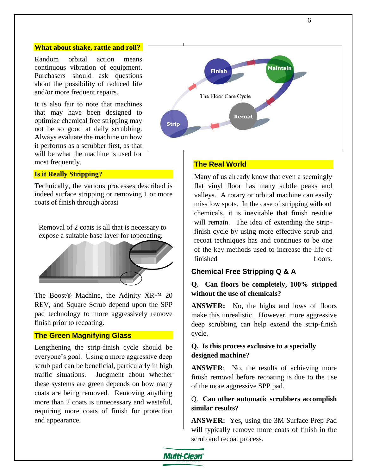#### **What about shake, rattle and roll?**

Random orbital action means continuous vibration of equipment. Purchasers should ask questions about the possibility of reduced life and/or more frequent repairs.

It is also fair to note that machines that may have been designed to optimize chemical free stripping may not be so good at daily scrubbing. Always evaluate the machine on how it performs as a scrubber first, as that will be what the machine is used for most frequently.

#### **Is it Really Stripping?**

Technically, the various processes described is indeed surface stripping or removing 1 or more coats of finish through abrasi

Removal of 2 coats is all that is necessary to expose a suitable base layer for topcoating.



The Boost® Machine, the Adinity XR™ 20 REV, and Square Scrub depend upon the SPP pad technology to more aggressively remove finish prior to recoating.

#### **The Green Magnifying Glass**

Lengthening the strip-finish cycle should be everyone's goal. Using a more aggressive deep scrub pad can be beneficial, particularly in high traffic situations. Judgment about whether these systems are green depends on how many coats are being removed. Removing anything more than 2 coats is unnecessary and wasteful, requiring more coats of finish for protection and appearance.



#### **The Real World**

Many of us already know that even a seemingly flat vinyl floor has many subtle peaks and valleys. A rotary or orbital machine can easily miss low spots. In the case of stripping without chemicals, it is inevitable that finish residue will remain. The idea of extending the stripfinish cycle by using more effective scrub and recoat techniques has and continues to be one of the key methods used to increase the life of finished floors.

#### **Chemical Free Stripping Q & A**

#### **Q. Can floors be completely, 100% stripped without the use of chemicals?**

**ANSWER:** No, the highs and lows of floors make this unrealistic. However, more aggressive deep scrubbing can help extend the strip-finish cycle.

#### **Q. Is this process exclusive to a specially designed machine?**

**ANSWER**: No, the results of achieving more finish removal before recoating is due to the use of the more aggressive SPP pad.

#### Q. **Can other automatic scrubbers accomplish similar results?**

**ANSWER:** Yes, using the 3M Surface Prep Pad will typically remove more coats of finish in the scrub and recoat process.